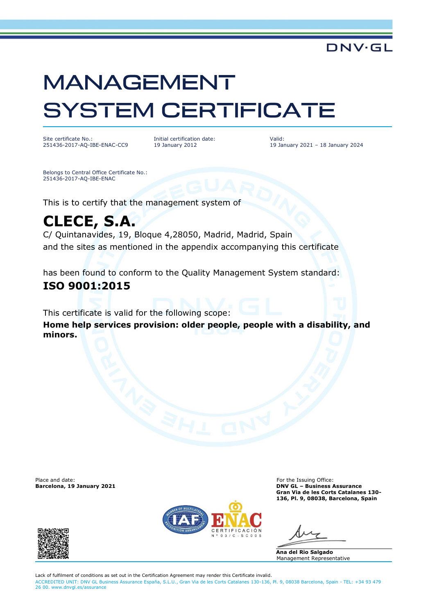# **MANAGEMENT SYSTEM CERTIFICATE**

Site certificate No.: 251436-2017-AQ-IBE-ENAC-CC9 Initial certification date: 19 January 2012

Valid: 19 January 2021 – 18 January 2024

**DNV·GL** 

Belongs to Central Office Certificate No.: 251436-2017-AQ-IBE-ENAC

This is to certify that the management system of

## **CLECE, S.A.**

C/ Quintanavides, 19, Bloque 4,28050, Madrid, Madrid, Spain and the sites as mentioned in the appendix accompanying this certificate

has been found to conform to the Quality Management System standard:

### **ISO 9001:2015**

This certificate is valid for the following scope: **Home help services provision: older people, people with a disability, and minors.**

Place and date: For the Issuing Office: For the Issuing Office: For the Issuing Office: For the Issuing Office:  $\blacksquare$ 



**Barcelona, 19 January 2021 DNV GL – Business Assurance Gran Via de les Corts Catalanes 130- 136, Pl. 9, 08038, Barcelona, Spain**

**Ana del Rio Salgado** Management Representative

Lack of fulfilment of conditions as set out in the Certification Agreement may render this Certificate invalid. ACCREDITED UNIT: DNV GL Business Assurance España, S.L.U., Gran Via de les Corts Catalanes 130-136, Pl. 9, 08038 Barcelona, Spain - TEL: +34 93 479 26 00. [www.dnvgl.es/assurance](http://www.dnvgl.es/assurance)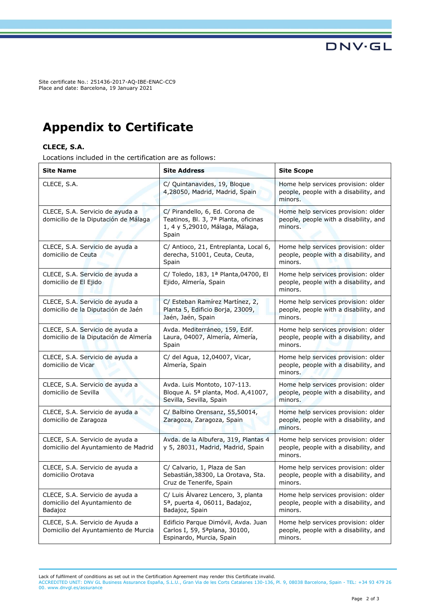Site certificate No.: 251436-2017-AQ-IBE-ENAC-CC9 Place and date: Barcelona, 19 January 2021

## **Appendix to Certificate**

#### **CLECE, S.A.**

Locations included in the certification are as follows:

| <b>Site Name</b>                                                            | <b>Site Address</b>                                                                                                 | <b>Site Scope</b>                                                                       |
|-----------------------------------------------------------------------------|---------------------------------------------------------------------------------------------------------------------|-----------------------------------------------------------------------------------------|
| CLECE, S.A.                                                                 | C/ Quintanavides, 19, Bloque<br>4,28050, Madrid, Madrid, Spain                                                      | Home help services provision: older<br>people, people with a disability, and<br>minors. |
| CLECE, S.A. Servicio de ayuda a<br>domicilio de la Diputación de Málaga     | C/ Pirandello, 6, Ed. Corona de<br>Teatinos, Bl. 3, 7ª Planta, oficinas<br>1, 4 y 5,29010, Málaga, Málaga,<br>Spain | Home help services provision: older<br>people, people with a disability, and<br>minors. |
| CLECE, S.A. Servicio de ayuda a<br>domicilio de Ceuta                       | C/ Antioco, 21, Entreplanta, Local 6,<br>derecha, 51001, Ceuta, Ceuta,<br>Spain                                     | Home help services provision: older<br>people, people with a disability, and<br>minors. |
| CLECE, S.A. Servicio de ayuda a<br>domicilio de El Ejido                    | C/ Toledo, 183, 1ª Planta, 04700, El<br>Ejido, Almería, Spain                                                       | Home help services provision: older<br>people, people with a disability, and<br>minors. |
| CLECE, S.A. Servicio de ayuda a<br>domicilio de la Diputación de Jaén       | C/ Esteban Ramírez Martínez, 2,<br>Planta 5, Edificio Borja, 23009,<br>Jaén, Jaén, Spain                            | Home help services provision: older<br>people, people with a disability, and<br>minors. |
| CLECE, S.A. Servicio de ayuda a<br>domicilio de la Diputación de Almería    | Avda. Mediterráneo, 159, Edif.<br>Laura, 04007, Almería, Almería,<br>Spain                                          | Home help services provision: older<br>people, people with a disability, and<br>minors. |
| CLECE, S.A. Servicio de ayuda a<br>domicilio de Vicar                       | C/ del Agua, 12,04007, Vicar,<br>Almería, Spain                                                                     | Home help services provision: older<br>people, people with a disability, and<br>minors. |
| CLECE, S.A. Servicio de ayuda a<br>domicilio de Sevilla                     | Avda. Luis Montoto, 107-113.<br>Bloque A. 5ª planta, Mod. A,41007,<br>Sevilla, Sevilla, Spain                       | Home help services provision: older<br>people, people with a disability, and<br>minors. |
| CLECE, S.A. Servicio de ayuda a<br>domicilio de Zaragoza                    | C/ Balbino Orensanz, 55,50014,<br>Zaragoza, Zaragoza, Spain                                                         | Home help services provision: older<br>people, people with a disability, and<br>minors. |
| CLECE, S.A. Servicio de ayuda a<br>domicilio del Ayuntamiento de Madrid     | Avda. de la Albufera, 319, Plantas 4<br>y 5, 28031, Madrid, Madrid, Spain                                           | Home help services provision: older<br>people, people with a disability, and<br>minors. |
| CLECE, S.A. Servicio de ayuda a<br>domicilio Orotava                        | C/ Calvario, 1, Plaza de San<br>Sebastián, 38300, La Orotava, Sta.<br>Cruz de Tenerife, Spain                       | Home help services provision: older<br>people, people with a disability, and<br>minors. |
| CLECE, S.A. Servicio de ayuda a<br>domicilio del Ayuntamiento de<br>Badajoz | C/ Luis Álvarez Lencero, 3, planta<br>5 <sup>a</sup> , puerta 4, 06011, Badajoz,<br>Badajoz, Spain                  | Home help services provision: older<br>people, people with a disability, and<br>minors. |
| CLECE, S.A. Servicio de Ayuda a<br>Domicilio del Ayuntamiento de Murcia     | Edificio Parque Dimóvil, Avda. Juan<br>Carlos I, 59, 5ªplana, 30100,<br>Espinardo, Murcia, Spain                    | Home help services provision: older<br>people, people with a disability, and<br>minors. |

Lack of fulfilment of conditions as set out in the Certification Agreement may render this Certificate invalid.

ACCREDITED UNIT: DNV GL Business Assurance España, S.L.U., Gran Via de les Corts Catalanes 130-136, Pl. 9, 08038 Barcelona, Spain - TEL: +34 93 479 26 00. [www.dnvgl.es/assurance](http://www.dnvgl.es/assurance)

**DNV·GL**